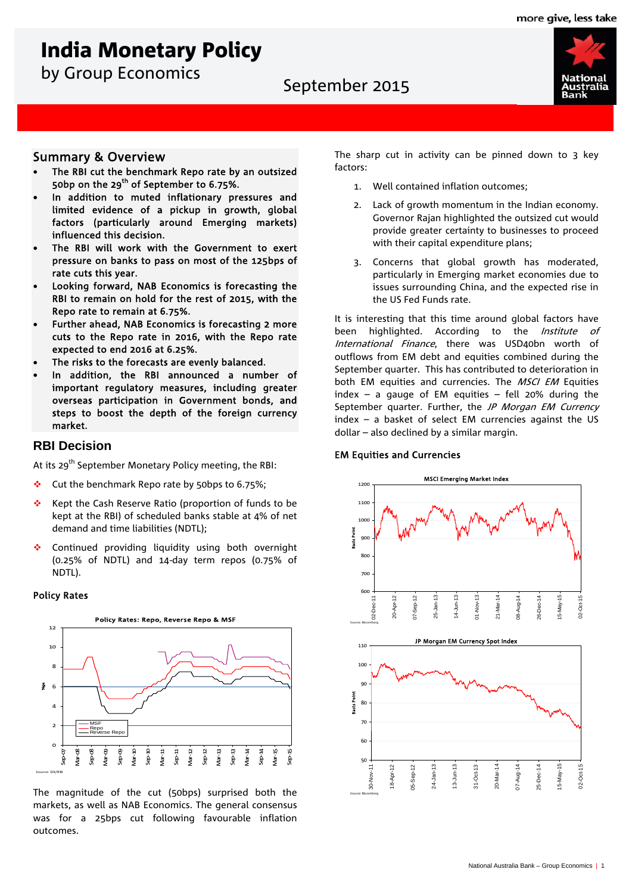# India Monetary Policy

by Group Economics<br>
September 2015



### Summary & Overview

- The RBI cut the benchmark Repo rate by an outsized 50bp on the 29<sup>th</sup> of September to 6.75%.
- In addition to muted inflationary pressures and limited evidence of a pickup in growth, global factors (particularly around Emerging markets) influenced this decision.
- The RBI will work with the Government to exert pressure on banks to pass on most of the 125bps of rate cuts this year.
- Looking forward, NAB Economics is forecasting the RBI to remain on hold for the rest of 2015, with the Repo rate to remain at 6.75%.
- Further ahead, NAB Economics is forecasting 2 more cuts to the Repo rate in 2016, with the Repo rate expected to end 2016 at 6.25%.
- The risks to the forecasts are evenly balanced.
- In addition, the RBI announced a number of important regulatory measures, including greater overseas participation in Government bonds, and steps to boost the depth of the foreign currency market.

### **RBI Decision**

At its 29<sup>th</sup> September Monetary Policy meeting, the RBI:

- Cut the benchmark Repo rate by 50bps to 6.75%;
- Kept the Cash Reserve Ratio (proportion of funds to be kept at the RBI) of scheduled banks stable at 4% of net demand and time liabilities (NDTL);
- ◆ Continued providing liquidity using both overnight (0.25% of NDTL) and 14-day term repos (0.75% of NDTL).

#### Policy Rates



The magnitude of the cut (50bps) surprised both the markets, as well as NAB Economics. The general consensus was for a 25bps cut following favourable inflation outcomes.

The sharp cut in activity can be pinned down to  $3$  key factors:

- 1. Well contained inflation outcomes;
- 2. Lack of growth momentum in the Indian economy. Governor Rajan highlighted the outsized cut would provide greater certainty to businesses to proceed with their capital expenditure plans;
- 3. Concerns that global growth has moderated, particularly in Emerging market economies due to issues surrounding China, and the expected rise in the US Fed Funds rate.

It is interesting that this time around global factors have been highlighted. According to the *Institute of* International Finance, there was USD40bn worth of outflows from EM debt and equities combined during the September quarter. This has contributed to deterioration in both EM equities and currencies. The MSCI EM Equities index – a gauge of EM equities – fell 20% during the September quarter. Further, the JP Morgan EM Currency index – a basket of select EM currencies against the US dollar – also declined by a similar margin.

#### EM Equities and Currencies



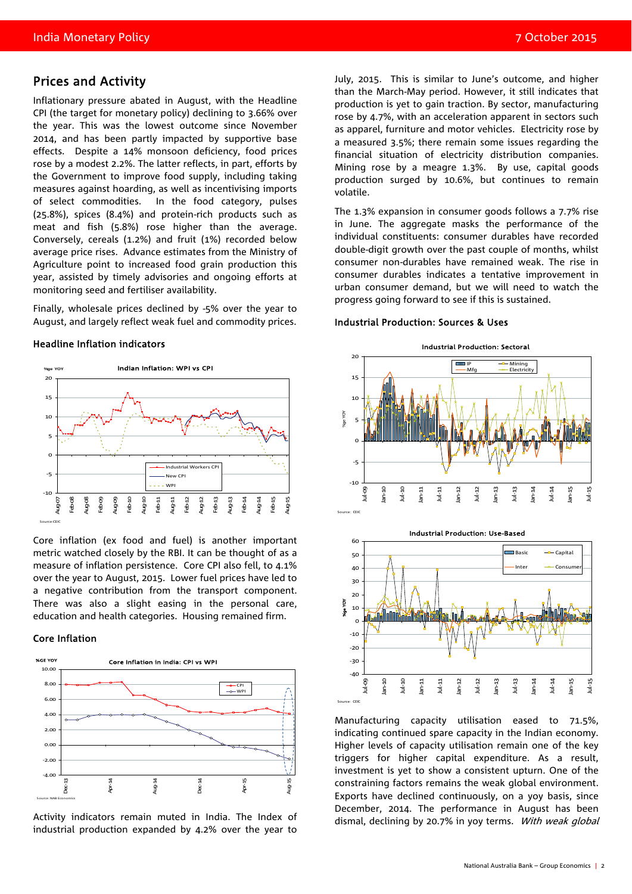### Prices and Activity

Inflationary pressure abated in August, with the Headline CPI (the target for monetary policy) declining to 3.66% over the year. This was the lowest outcome since November 2014, and has been partly impacted by supportive base effects. Despite a 14% monsoon deficiency, food prices rose by a modest 2.2%. The latter reflects, in part, efforts by the Government to improve food supply, including taking measures against hoarding, as well as incentivising imports of select commodities. In the food category, pulses (25.8%), spices (8.4%) and protein-rich products such as meat and fish (5.8%) rose higher than the average. Conversely, cereals (1.2%) and fruit (1%) recorded below average price rises. Advance estimates from the Ministry of Agriculture point to increased food grain production this year, assisted by timely advisories and ongoing efforts at monitoring seed and fertiliser availability.

Finally, wholesale prices declined by -5% over the year to August, and largely reflect weak fuel and commodity prices.

#### Headline Inflation indicators



Core inflation (ex food and fuel) is another important metric watched closely by the RBI. It can be thought of as a measure of inflation persistence. Core CPI also fell, to 4.1% over the year to August, 2015. Lower fuel prices have led to a negative contribution from the transport component. There was also a slight easing in the personal care, education and health categories. Housing remained firm.

#### Core Inflation



Activity indicators remain muted in India. The Index of industrial production expanded by 4.2% over the year to

July, 2015. This is similar to June's outcome, and higher than the March-May period. However, it still indicates that production is yet to gain traction. By sector, manufacturing rose by 4.7%, with an acceleration apparent in sectors such as apparel, furniture and motor vehicles. Electricity rose by a measured 3.5%; there remain some issues regarding the financial situation of electricity distribution companies. Mining rose by a meagre 1.3%. By use, capital goods production surged by 10.6%, but continues to remain volatile.

The 1.3% expansion in consumer goods follows a 7.7% rise in June. The aggregate masks the performance of the individual constituents: consumer durables have recorded double-digit growth over the past couple of months, whilst consumer non-durables have remained weak. The rise in consumer durables indicates a tentative improvement in urban consumer demand, but we will need to watch the progress going forward to see if this is sustained.

#### Industrial Production: Sources & Uses





Manufacturing capacity utilisation eased to 71.5%, indicating continued spare capacity in the Indian economy. Higher levels of capacity utilisation remain one of the key triggers for higher capital expenditure. As a result, investment is yet to show a consistent upturn. One of the constraining factors remains the weak global environment. Exports have declined continuously, on a yoy basis, since December, 2014. The performance in August has been dismal, declining by 20.7% in yoy terms. With weak global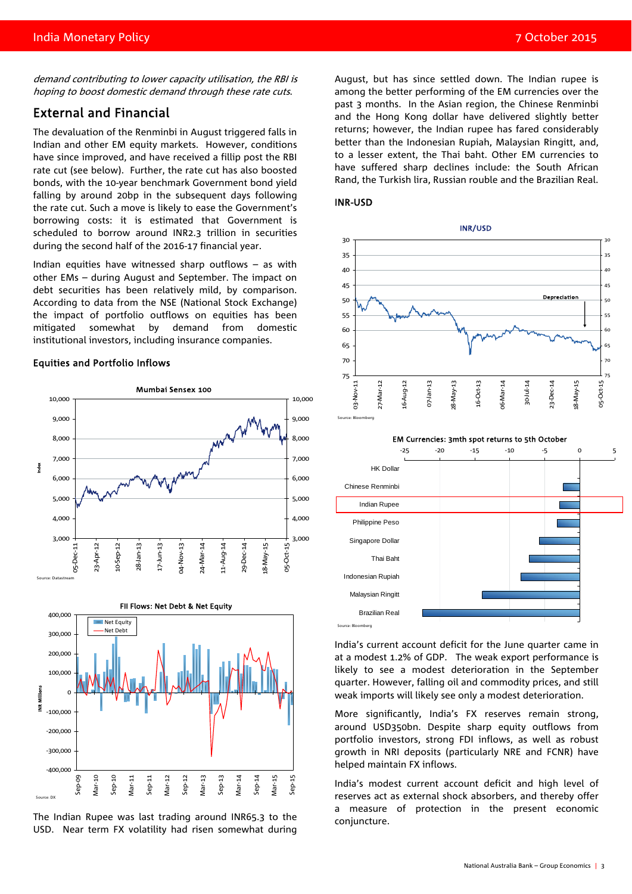demand contributing to lower capacity utilisation, the RBI is hoping to boost domestic demand through these rate cuts.

### External and Financial

The devaluation of the Renminbi in August triggered falls in Indian and other EM equity markets. However, conditions have since improved, and have received a fillip post the RBI rate cut (see below). Further, the rate cut has also boosted bonds, with the 10-year benchmark Government bond yield falling by around 20bp in the subsequent days following the rate cut. Such a move is likely to ease the Government's borrowing costs: it is estimated that Government is scheduled to borrow around INR2.3 trillion in securities during the second half of the 2016-17 financial year.

Indian equities have witnessed sharp outflows – as with other EMs – during August and September. The impact on debt securities has been relatively mild, by comparison. According to data from the NSE (National Stock Exchange) the impact of portfolio outflows on equities has been mitigated somewhat by demand from domestic institutional investors, including insurance companies.

#### Equities and Portfolio Inflows



The Indian Rupee was last trading around INR65.3 to the USD. Near term FX volatility had risen somewhat during

August, but has since settled down. The Indian rupee is among the better performing of the EM currencies over the past 3 months. In the Asian region, the Chinese Renminbi and the Hong Kong dollar have delivered slightly better returns; however, the Indian rupee has fared considerably better than the Indonesian Rupiah, Malaysian Ringitt, and, to a lesser extent, the Thai baht. Other EM currencies to have suffered sharp declines include: the South African Rand, the Turkish lira, Russian rouble and the Brazilian Real.







India's current account deficit for the June quarter came in at a modest 1.2% of GDP. The weak export performance is likely to see a modest deterioration in the September quarter. However, falling oil and commodity prices, and still weak imports will likely see only a modest deterioration.

More significantly, India's FX reserves remain strong, around USD350bn. Despite sharp equity outflows from portfolio investors, strong FDI inflows, as well as robust growth in NRI deposits (particularly NRE and FCNR) have helped maintain FX inflows.

India's modest current account deficit and high level of reserves act as external shock absorbers, and thereby offer a measure of protection in the present economic conjuncture.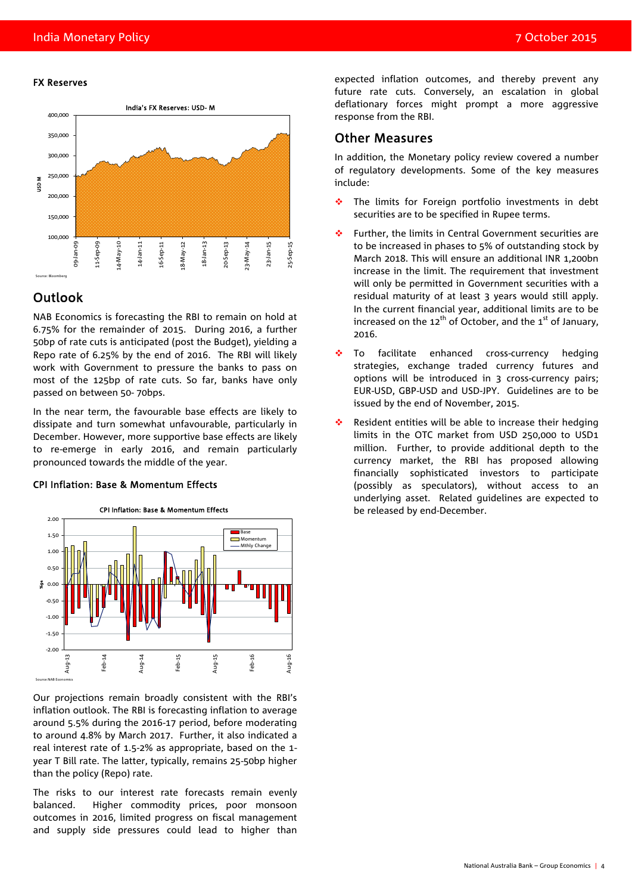#### FX Reserves



### Outlook

NAB Economics is forecasting the RBI to remain on hold at 6.75% for the remainder of 2015. During 2016, a further 50bp of rate cuts is anticipated (post the Budget), yielding a Repo rate of 6.25% by the end of 2016. The RBI will likely work with Government to pressure the banks to pass on most of the 125bp of rate cuts. So far, banks have only passed on between 50- 70bps.

In the near term, the favourable base effects are likely to dissipate and turn somewhat unfavourable, particularly in December. However, more supportive base effects are likely to re-emerge in early 2016, and remain particularly pronounced towards the middle of the year.

#### CPI Inflation: Base & Momentum Effects



Our projections remain broadly consistent with the RBI's inflation outlook. The RBI is forecasting inflation to average around 5.5% during the 2016-17 period, before moderating to around 4.8% by March 2017. Further, it also indicated a real interest rate of 1.5-2% as appropriate, based on the 1 year T Bill rate. The latter, typically, remains 25-50bp higher than the policy (Repo) rate.

The risks to our interest rate forecasts remain evenly balanced. Higher commodity prices, poor monsoon outcomes in 2016, limited progress on fiscal management and supply side pressures could lead to higher than expected inflation outcomes, and thereby prevent any future rate cuts. Conversely, an escalation in global deflationary forces might prompt a more aggressive response from the RBI.

### Other Measures

In addition, the Monetary policy review covered a number of regulatory developments. Some of the key measures include:

- \* The limits for Foreign portfolio investments in debt securities are to be specified in Rupee terms.
- Further, the limits in Central Government securities are to be increased in phases to 5% of outstanding stock by March 2018. This will ensure an additional INR 1,200bn increase in the limit. The requirement that investment will only be permitted in Government securities with a residual maturity of at least 3 years would still apply. In the current financial year, additional limits are to be increased on the  $12^{th}$  of October, and the  $1^{st}$  of January, 2016.
- To facilitate enhanced cross-currency hedging strategies, exchange traded currency futures and options will be introduced in 3 cross-currency pairs; EUR-USD, GBP-USD and USD-JPY. Guidelines are to be issued by the end of November, 2015.
- Resident entities will be able to increase their hedging limits in the OTC market from USD 250,000 to USD1 million. Further, to provide additional depth to the currency market, the RBI has proposed allowing financially sophisticated investors to participate (possibly as speculators), without access to an underlying asset. Related guidelines are expected to be released by end-December.